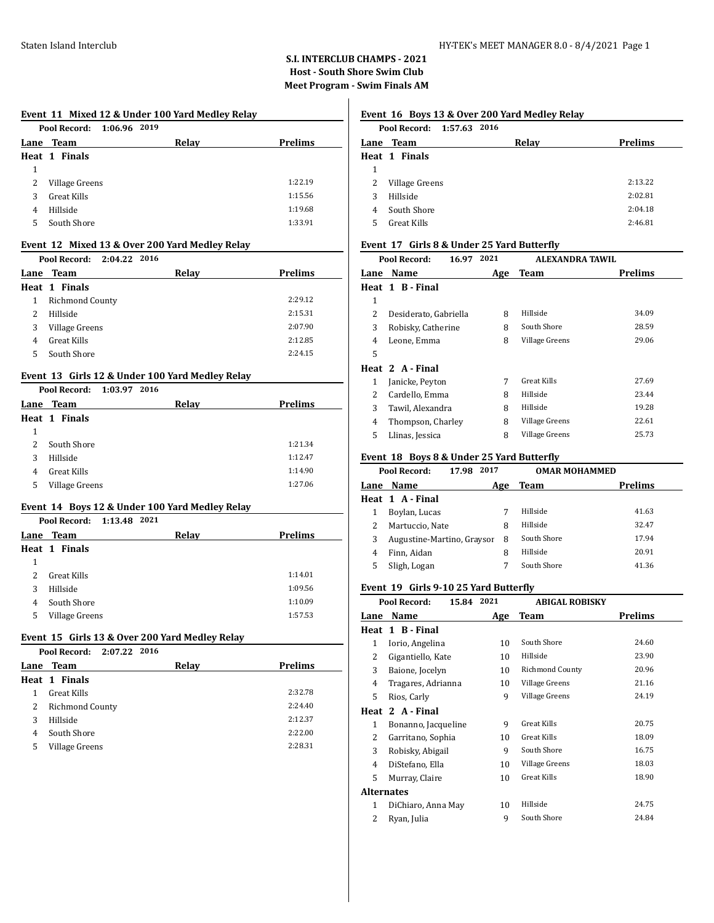# **S.I. INTERCLUB CHAMPS - 2021 Host - South Shore Swim Club Meet Program - Swim Finals AM**

## **Event 11 Mixed 12 & Under 100 Yard Medley Relay**

|    | Pool Record: 1:06.96 2019 |       |                |
|----|---------------------------|-------|----------------|
|    | <b>Lane Team</b>          | Relay | <b>Prelims</b> |
|    | Heat 1 Finals             |       |                |
| 1  |                           |       |                |
| 2  | Village Greens            |       | 1:22.19        |
| 3  | Great Kills               |       | 1:15.56        |
| 4  | Hillside                  |       | 1:19.68        |
| 5. | South Shore               |       | 1:33.91        |
|    |                           |       |                |

## **Event 12 Mixed 13 & Over 200 Yard Medley Relay**

|   | Pool Record:<br>2:04.22 2016 |       |                |
|---|------------------------------|-------|----------------|
|   | <b>Lane Team</b>             | Relay | <b>Prelims</b> |
|   | Heat 1 Finals                |       |                |
|   | <b>Richmond County</b>       |       | 2:29.12        |
|   | Hillside                     |       | 2:15.31        |
|   | Village Greens               |       | 2:07.90        |
| 4 | Great Kills                  |       | 2:12.85        |
| 5 | South Shore                  |       | 2:24.15        |
|   |                              |       |                |

#### **Event 13 Girls 12 & Under 100 Yard Medley Relay**

|   | Pool Record: 1:03.97 2016 |       |                |
|---|---------------------------|-------|----------------|
|   | Lane Team                 | Relay | <b>Prelims</b> |
|   | <b>Heat 1 Finals</b>      |       |                |
| 1 |                           |       |                |
| 2 | South Shore               |       | 1:21.34        |
| 3 | Hillside                  |       | 1:12.47        |
| 4 | <b>Great Kills</b>        |       | 1:14.90        |
| 5 | Village Greens            |       | 1:27.06        |

#### **Event 14 Boys 12 & Under 100 Yard Medley Relay**

|   | Pool Record: 1:13.48 2021 |  |       |                |
|---|---------------------------|--|-------|----------------|
|   | Lane Team                 |  | Relay | <b>Prelims</b> |
|   | Heat 1 Finals             |  |       |                |
| 1 |                           |  |       |                |
| 2 | Great Kills               |  |       | 1:14.01        |
| 3 | Hillside                  |  |       | 1:09.56        |
| 4 | South Shore               |  |       | 1:10.09        |
| 5 | Village Greens            |  |       | 1:57.53        |

## **Event 15 Girls 13 & Over 200 Yard Medley Relay**

|   | Pool Record: 2:07.22 2016 |       |                |
|---|---------------------------|-------|----------------|
|   | Lane Team                 | Relay | <b>Prelims</b> |
|   | Heat 1 Finals             |       |                |
|   | Great Kills               |       | 2:32.78        |
| 2 | <b>Richmond County</b>    |       | 2:24.40        |
| 3 | Hillside                  |       | 2:12.37        |
| 4 | South Shore               |       | 2:22.00        |
| 5 | Village Greens            |       | 2:28.31        |

# **Event 16 Boys 13 & Over 200 Yard Medley Relay**

|   | Pool Record: 1:57.63 2016 |       |                |
|---|---------------------------|-------|----------------|
|   | Lane Team                 | Relay | <b>Prelims</b> |
|   | Heat 1 Finals             |       |                |
| 1 |                           |       |                |
| 2 | Village Greens            |       | 2:13.22        |
| 3 | Hillside                  |       | 2:02.81        |
| 4 | South Shore               |       | 2:04.18        |
| 5 | Great Kills               |       | 2:46.81        |
|   |                           |       |                |

## **Event 17 Girls 8 & Under 25 Yard Butterfly**

|               | Pool Record:<br>16.97 | 2021 | <b>ALEXANDRA TAWIL</b> |                |
|---------------|-----------------------|------|------------------------|----------------|
| Lane          | Name                  | Age  | Team                   | <b>Prelims</b> |
|               | Heat 1 B-Final        |      |                        |                |
| 1             |                       |      |                        |                |
| 2             | Desiderato, Gabriella | 8    | Hillside               | 34.09          |
| 3             | Robisky, Catherine    | 8    | South Shore            | 28.59          |
| 4             | Leone, Emma           | 8    | Village Greens         | 29.06          |
| 5             |                       |      |                        |                |
|               | Heat 2 A-Final        |      |                        |                |
| 1             | Janicke, Peyton       | 7    | Great Kills            | 27.69          |
| $\mathcal{L}$ | Cardello, Emma        | 8    | Hillside               | 23.44          |
| 3             | Tawil, Alexandra      | 8    | Hillside               | 19.28          |
| 4             | Thompson, Charley     | 8    | Village Greens         | 22.61          |
| 5             | Llinas, Jessica       | 8    | Village Greens         | 25.73          |
|               |                       |      |                        |                |

#### **Event 18 Boys 8 & Under 25 Yard Butterfly**

|      | Pool Record:<br>17.98      | 2017 | <b>OMAR MOHAMMED</b> |                |
|------|----------------------------|------|----------------------|----------------|
| Lane | <b>Name</b>                | Age  | Team                 | <b>Prelims</b> |
|      | Heat 1 A-Final             |      |                      |                |
|      | Boylan, Lucas              |      | Hillside             | 41.63          |
| 2    | Martuccio, Nate            | 8    | Hillside             | 32.47          |
| 3    | Augustine-Martino, Graysor | 8    | South Shore          | 17.94          |
| 4    | Finn, Aidan                | 8    | Hillside             | 20.91          |
| 5    | Sligh, Logan               |      | South Shore          | 41.36          |

#### **Event 19 Girls 9-10 25 Yard Butterfly**

|                   | 15.84 2021<br>Pool Record: |     | <b>ABIGAL ROBISKY</b> |         |
|-------------------|----------------------------|-----|-----------------------|---------|
| Lane              | Name                       | Age | Team                  | Prelims |
|                   | Heat 1 B - Final           |     |                       |         |
| 1                 | Iorio, Angelina            | 10  | South Shore           | 24.60   |
| 2                 | Gigantiello, Kate          | 10  | Hillside              | 23.90   |
| 3                 | Baione, Jocelyn            | 10  | Richmond County       | 20.96   |
| 4                 | Tragares, Adrianna         | 10  | Village Greens        | 21.16   |
| 5                 | Rios, Carly                | 9   | Village Greens        | 24.19   |
|                   | Heat 2 A - Final           |     |                       |         |
| 1                 | Bonanno, Jacqueline        | 9   | <b>Great Kills</b>    | 20.75   |
| 2                 | Garritano, Sophia          | 10  | Great Kills           | 18.09   |
| 3                 | Robisky, Abigail           | 9   | South Shore           | 16.75   |
| 4                 | DiStefano, Ella            | 10  | Village Greens        | 18.03   |
| 5                 | Murray, Claire             | 10  | <b>Great Kills</b>    | 18.90   |
| <b>Alternates</b> |                            |     |                       |         |
| 1                 | DiChiaro, Anna May         | 10  | Hillside              | 24.75   |
| 2                 | Ryan, Julia                | 9   | South Shore           | 24.84   |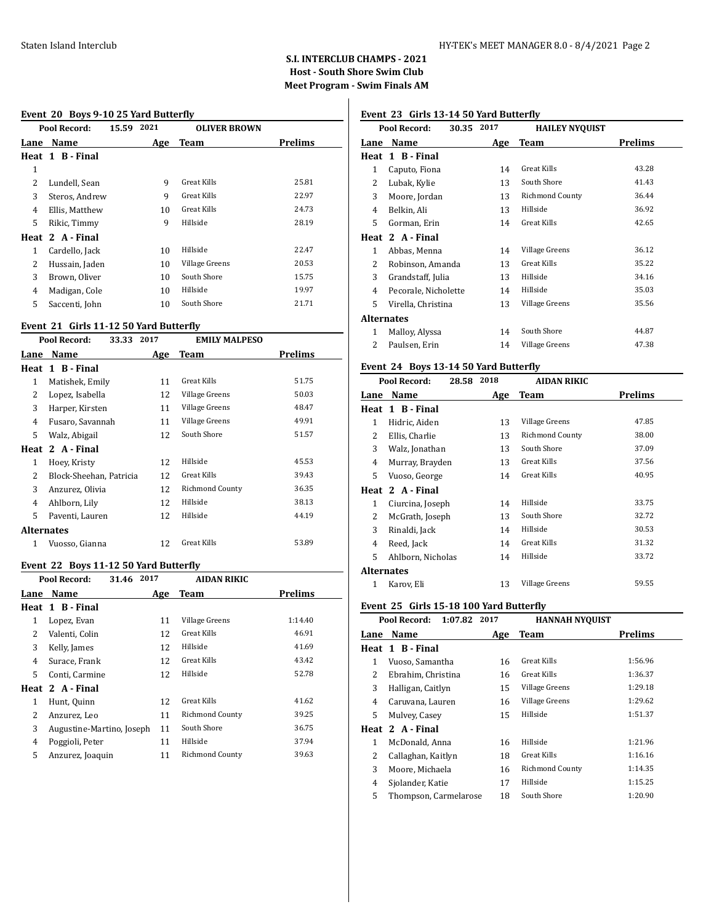#### Staten Island Interclub HY-TEK's MEET MANAGER 8.0 - 8/4/2021 Page 2

# **S.I. INTERCLUB CHAMPS - 2021 Host - South Shore Swim Club Meet Program - Swim Finals AM**

#### **Event 20 Boys 9-10 25 Yard Butterfly**

|      | Pool Record:     | 15.59 | 2021 | <b>OLIVER BROWN</b> |                |
|------|------------------|-------|------|---------------------|----------------|
| Lane | Name             |       | Age  | <b>Team</b>         | <b>Prelims</b> |
|      | Heat 1 B-Final   |       |      |                     |                |
| 1    |                  |       |      |                     |                |
| 2    | Lundell, Sean    |       | 9    | Great Kills         | 25.81          |
| 3    | Steros, Andrew   |       | 9    | Great Kills         | 22.97          |
| 4    | Ellis, Matthew   |       | 10   | Great Kills         | 24.73          |
| 5    | Rikic, Timmy     |       | 9    | Hillside            | 28.19          |
|      | Heat 2 A - Final |       |      |                     |                |
| 1    | Cardello, Jack   |       | 10   | Hillside            | 22.47          |
| 2    | Hussain, Jaden   |       | 10   | Village Greens      | 20.53          |
| 3    | Brown, Oliver    |       | 10   | South Shore         | 15.75          |
| 4    | Madigan, Cole    |       | 10   | Hillside            | 19.97          |
| 5    | Saccenti, John   |       | 10   | South Shore         | 21.71          |
|      |                  |       |      |                     |                |

#### **Event 21 Girls 11-12 50 Yard Butterfly**

|                   | Pool Record:<br>2017<br>33.33<br><b>EMILY MALPESO</b> |     |                        |         |  |
|-------------------|-------------------------------------------------------|-----|------------------------|---------|--|
| Lane              | Name                                                  | Age | Team                   | Prelims |  |
|                   | Heat 1 B - Final                                      |     |                        |         |  |
| 1                 | Matishek, Emily                                       | 11  | <b>Great Kills</b>     | 51.75   |  |
| 2                 | Lopez, Isabella                                       | 12  | Village Greens         | 50.03   |  |
| 3                 | Harper, Kirsten                                       | 11  | Village Greens         | 48.47   |  |
| 4                 | Fusaro, Savannah                                      | 11  | Village Greens         | 49.91   |  |
| 5.                | Walz, Abigail                                         | 12  | South Shore            | 51.57   |  |
|                   | Heat 2 A - Final                                      |     |                        |         |  |
| 1                 | Hoey, Kristy                                          | 12  | Hillside               | 45.53   |  |
| 2                 | Block-Sheehan, Patricia                               | 12  | <b>Great Kills</b>     | 39.43   |  |
| 3                 | Anzurez, Olivia                                       | 12  | <b>Richmond County</b> | 36.35   |  |
| 4                 | Ahlborn, Lily                                         | 12  | Hillside               | 38.13   |  |
| 5                 | Paventi, Lauren                                       | 12  | Hillside               | 44.19   |  |
| <b>Alternates</b> |                                                       |     |                        |         |  |
| 1                 | Vuosso, Gianna                                        | 12  | <b>Great Kills</b>     | 53.89   |  |

#### **Event 22 Boys 11-12 50 Yard Butterfly**

|      | Pool Record:              | 2017<br>31.46 |     | <b>AIDAN RIKIC</b>     |                |
|------|---------------------------|---------------|-----|------------------------|----------------|
| Lane | Name                      |               | Age | <b>Team</b>            | <b>Prelims</b> |
|      | Heat 1 B-Final            |               |     |                        |                |
| 1    | Lopez, Evan               |               | 11  | Village Greens         | 1:14.40        |
| 2    | Valenti, Colin            |               | 12  | Great Kills            | 46.91          |
| 3    | Kelly, James              |               | 12  | Hillside               | 41.69          |
| 4    | Surace, Frank             |               | 12  | <b>Great Kills</b>     | 43.42          |
| 5.   | Conti, Carmine            |               | 12  | Hillside               | 52.78          |
|      | Heat 2 A-Final            |               |     |                        |                |
| 1    | Hunt, Quinn               |               | 12  | <b>Great Kills</b>     | 41.62          |
| 2    | Anzurez, Leo              |               | 11  | <b>Richmond County</b> | 39.25          |
| 3    | Augustine-Martino, Joseph |               | 11  | South Shore            | 36.75          |
| 4    | Poggioli, Peter           |               | 11  | Hillside               | 37.94          |
| 5    | Anzurez, Joaquin          |               | 11  | Richmond County        | 39.63          |
|      |                           |               |     |                        |                |

# **Event 23 Girls 13-14 50 Yard Butterfly**

|                   | Pool Record:<br>30.35 | 2017 | <b>HAILEY NYOUIST</b> |         |
|-------------------|-----------------------|------|-----------------------|---------|
| Lane              | Name                  | Age  | Team                  | Prelims |
|                   | Heat 1 B - Final      |      |                       |         |
| 1                 | Caputo, Fiona         | 14   | Great Kills           | 43.28   |
| 2                 | Lubak, Kylie          | 13   | South Shore           | 41.43   |
| 3                 | Moore, Jordan         | 13   | Richmond County       | 36.44   |
| 4                 | Belkin, Ali           | 13   | Hillside              | 36.92   |
| 5                 | Gorman, Erin          | 14   | <b>Great Kills</b>    | 42.65   |
| Heat              | 2 A - Final           |      |                       |         |
| 1                 | Abbas, Menna          | 14   | Village Greens        | 36.12   |
| 2                 | Robinson, Amanda      | 13   | Great Kills           | 35.22   |
| 3                 | Grandstaff, Julia     | 13   | Hillside              | 34.16   |
| 4                 | Pecorale, Nicholette  | 14   | Hillside              | 35.03   |
| 5                 | Virella, Christina    | 13   | Village Greens        | 35.56   |
| <b>Alternates</b> |                       |      |                       |         |
| 1                 | Malloy, Alyssa        | 14   | South Shore           | 44.87   |
| $\mathcal{L}$     | Paulsen, Erin         | 14   | Village Greens        | 47.38   |
|                   |                       |      |                       |         |

# **Event 24 Boys 13-14 50 Yard Butterfly**

|                   | Pool Record:<br>28.58 | 2018 | AIDAN RIKIC     |         |
|-------------------|-----------------------|------|-----------------|---------|
| Lane              | Name                  | Age  | Team            | Prelims |
|                   | Heat 1 B - Final      |      |                 |         |
| 1                 | Hidric, Aiden         | 13   | Village Greens  | 47.85   |
| 2                 | Ellis, Charlie        | 13   | Richmond County | 38.00   |
| 3                 | Walz, Jonathan        | 13   | South Shore     | 37.09   |
| 4                 | Murray, Brayden       | 13   | Great Kills     | 37.56   |
| 5                 | Vuoso, George         | 14   | Great Kills     | 40.95   |
|                   | Heat 2 A - Final      |      |                 |         |
| 1                 | Ciurcina, Joseph      | 14   | Hillside        | 33.75   |
| 2                 | McGrath, Joseph       | 13   | South Shore     | 32.72   |
| 3                 | Rinaldi, Jack         | 14   | Hillside        | 30.53   |
| 4                 | Reed, Jack            | 14   | Great Kills     | 31.32   |
| 5                 | Ahlborn, Nicholas     | 14   | Hillside        | 33.72   |
| <b>Alternates</b> |                       |      |                 |         |
| 1                 | Karov, Eli            | 13   | Village Greens  | 59.55   |

#### **Event 25 Girls 15-18 100 Yard Butterfly**

|      | Pool Record:<br>1:07.82 | 2017 | <b>HANNAH NYQUIST</b> |                |
|------|-------------------------|------|-----------------------|----------------|
| Lane | Name                    | Age  | Team                  | <b>Prelims</b> |
|      | Heat 1 B - Final        |      |                       |                |
| 1    | Vuoso, Samantha         | 16   | <b>Great Kills</b>    | 1:56.96        |
| 2    | Ebrahim, Christina      | 16   | Great Kills           | 1:36.37        |
| 3    | Halligan, Caitlyn       | 15   | Village Greens        | 1:29.18        |
| 4    | Caruvana, Lauren        | 16   | Village Greens        | 1:29.62        |
| 5    | Mulvey, Casey           | 15   | Hillside              | 1:51.37        |
|      | Heat 2 A - Final        |      |                       |                |
| 1    | McDonald, Anna          | 16   | Hillside              | 1:21.96        |
| 2    | Callaghan, Kaitlyn      | 18   | Great Kills           | 1:16.16        |
| 3    | Moore, Michaela         | 16   | Richmond County       | 1:14.35        |
| 4    | Sjolander, Katie        | 17   | Hillside              | 1:15.25        |
| 5    | Thompson, Carmelarose   | 18   | South Shore           | 1:20.90        |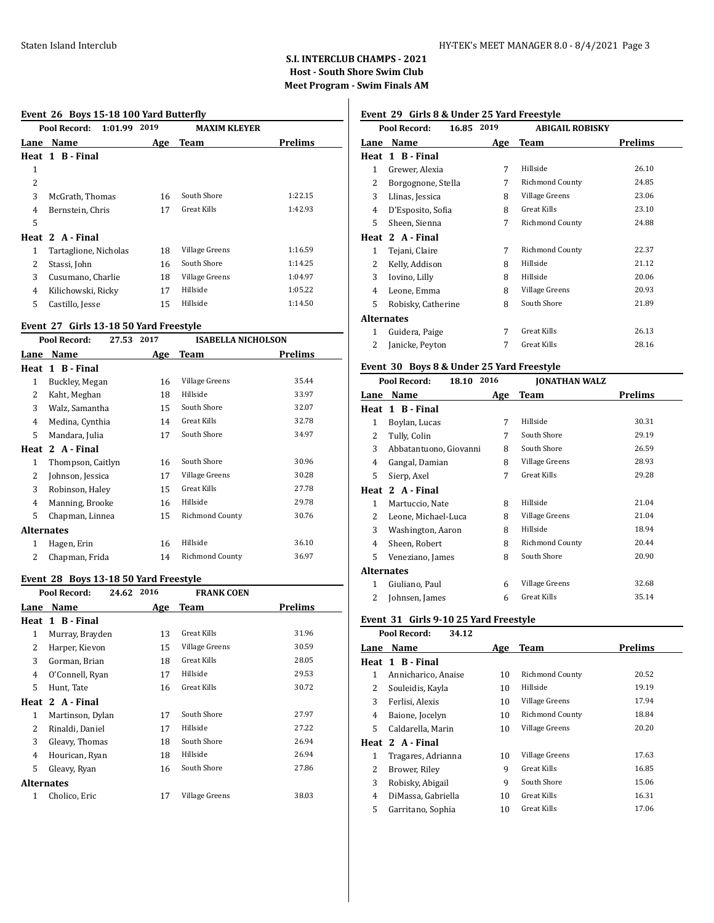# **S.I. INTERCLUB CHAMPS - 2021 Host - South Shore Swim Club Meet Program - Swim Finals AM**

#### **Event 26 Boys 15-18 100 Yard Butterfly**

|      | Pool Record:<br>1:01.99 | 2019 | <b>MAXIM KLEYER</b> |                |
|------|-------------------------|------|---------------------|----------------|
| Lane | Name                    | Age  | Team                | <b>Prelims</b> |
|      | Heat 1 B-Final          |      |                     |                |
| 1    |                         |      |                     |                |
| 2    |                         |      |                     |                |
| 3    | McGrath, Thomas         | 16   | South Shore         | 1:22.15        |
| 4    | Bernstein, Chris        | 17   | <b>Great Kills</b>  | 1:42.93        |
| 5    |                         |      |                     |                |
|      | Heat 2 A-Final          |      |                     |                |
| 1    | Tartaglione, Nicholas   | 18   | Village Greens      | 1:16.59        |
| 2    | Stassi, John            | 16   | South Shore         | 1:14.25        |
| 3    | Cusumano, Charlie       | 18   | Village Greens      | 1:04.97        |
| 4    | Kilichowski, Ricky      | 17   | Hillside            | 1:05.22        |
| 5    | Castillo, Jesse         | 15   | Hillside            | 1:14.50        |
|      |                         |      |                     |                |

#### **Event 27 Girls 13-18 50 Yard Freestyle**

| Pool Record:<br>27.53 |                                           | <b>ISABELLA NICHOLSON</b> |         |
|-----------------------|-------------------------------------------|---------------------------|---------|
| Name                  | Age                                       | <b>Team</b>               | Prelims |
| 1 B - Final           |                                           |                           |         |
| Buckley, Megan        | 16                                        | Village Greens            | 35.44   |
| Kaht, Meghan          | 18                                        | Hillside                  | 33.97   |
| Walz, Samantha        | 15                                        | South Shore               | 32.07   |
| Medina, Cynthia       | 14                                        | Great Kills               | 32.78   |
| Mandara, Julia        | 17                                        | South Shore               | 34.97   |
| 2 A - Final           |                                           |                           |         |
| Thompson, Caitlyn     | 16                                        | South Shore               | 30.96   |
| Johnson, Jessica      | 17                                        | Village Greens            | 30.28   |
| Robinson, Haley       | 15                                        | Great Kills               | 27.78   |
| Manning, Brooke       | 16                                        | Hillside                  | 29.78   |
| Chapman, Linnea       | 15                                        | Richmond County           | 30.76   |
|                       |                                           |                           |         |
| Hagen, Erin           | 16                                        | Hillside                  | 36.10   |
| Chapman, Frida        | 14                                        | <b>Richmond County</b>    | 36.97   |
| 2<br>3<br>4<br>3<br>4 | Lane<br>Heat<br>Heat<br><b>Alternates</b> | 2017                      |         |

#### **Event 28 Boys 13-18 50 Yard Freestyle**

|                | Pool Record:<br>24.62 | 2016 | <b>FRANK COEN</b>  |         |  |
|----------------|-----------------------|------|--------------------|---------|--|
| Lane           | Name                  | Age  | Team               | Prelims |  |
|                | Heat 1 B-Final        |      |                    |         |  |
| 1              | Murray, Brayden       | 13   | Great Kills        | 31.96   |  |
| 2              | Harper, Kievon        | 15   | Village Greens     | 30.59   |  |
| 3              | Gorman, Brian         | 18   | <b>Great Kills</b> | 28.05   |  |
| $\overline{4}$ | O'Connell, Ryan       | 17   | Hillside           | 29.53   |  |
| 5              | Hunt, Tate            | 16   | <b>Great Kills</b> | 30.72   |  |
|                | Heat 2 A-Final        |      |                    |         |  |
| 1              | Martinson, Dylan      | 17   | South Shore        | 27.97   |  |
| 2              | Rinaldi, Daniel       | 17   | Hillside           | 27.22   |  |
| 3              | Gleavy, Thomas        | 18   | South Shore        | 26.94   |  |
| 4              | Hourican, Ryan        | 18   | Hillside           | 26.94   |  |
| 5              | Gleavy, Ryan          | 16   | South Shore        | 27.86   |  |
|                | Alternates            |      |                    |         |  |
| 1              | Cholico, Eric         | 17   | Village Greens     | 38.03   |  |

# **Event 29 Girls 8 & Under 25 Yard Freestyle**

|                   | Pool Record:<br>16.85 | 2019 | ABIGAIL ROBISKY        |         |
|-------------------|-----------------------|------|------------------------|---------|
| Lane              | Name                  | Age  | Team                   | Prelims |
| Heat              | 1 B - Final           |      |                        |         |
| 1                 | Grewer, Alexia        | 7    | Hillside               | 26.10   |
| 2                 | Borgognone, Stella    | 7    | <b>Richmond County</b> | 24.85   |
| 3                 | Llinas, Jessica       | 8    | Village Greens         | 23.06   |
| 4                 | D'Esposito, Sofia     | 8    | Great Kills            | 23.10   |
| 5                 | Sheen, Sienna         | 7    | Richmond County        | 24.88   |
| Heat              | 2 A - Final           |      |                        |         |
| 1                 | Tejani, Claire        | 7    | <b>Richmond County</b> | 22.37   |
| 2                 | Kelly, Addison        | 8    | Hillside               | 21.12   |
| 3                 | Iovino, Lilly         | 8    | Hillside               | 20.06   |
| 4                 | Leone, Emma           | 8    | Village Greens         | 20.93   |
| 5                 | Robisky, Catherine    | 8    | South Shore            | 21.89   |
| <b>Alternates</b> |                       |      |                        |         |
| 1                 | Guidera, Paige        | 7    | Great Kills            | 26.13   |
| 2                 | Janicke, Peyton       | 7    | Great Kills            | 28.16   |
|                   |                       |      |                        |         |

#### **Event 30 Boys 8 & Under 25 Yard Freestyle Pool Record: 18.10 2016 JONATHAN WALZ**

|            | POOL KECOPA:<br>18.IV  | 2010 | JUNAI HAN WALZ         |         |
|------------|------------------------|------|------------------------|---------|
| Lane       | <b>Name</b>            | Age  | Team                   | Prelims |
|            | Heat 1 B-Final         |      |                        |         |
| 1          | Boylan, Lucas          | 7    | Hillside               | 30.31   |
| 2          | Tully, Colin           | 7    | South Shore            | 29.19   |
| 3          | Abbatantuono, Giovanni | 8    | South Shore            | 26.59   |
| 4          | Gangal, Damian         | 8    | Village Greens         | 28.93   |
| 5          | Sierp, Axel            | 7    | <b>Great Kills</b>     | 29.28   |
| Heat       | 2 A - Final            |      |                        |         |
| 1          | Martuccio, Nate        | 8    | Hillside               | 21.04   |
| 2          | Leone, Michael-Luca    | 8    | Village Greens         | 21.04   |
| 3          | Washington, Aaron      | 8    | Hillside               | 18.94   |
| 4          | Sheen, Robert          | 8    | <b>Richmond County</b> | 20.44   |
| 5          | Veneziano, James       | 8    | South Shore            | 20.90   |
| Alternates |                        |      |                        |         |
| 1          | Giuliano, Paul         | 6    | Village Greens         | 32.68   |
| 2          | Johnsen, James         | 6    | Great Kills            | 35.14   |
|            |                        |      |                        |         |

#### **Event 31 Girls 9-10 25 Yard Freestyle Pool Record: 34.12**

|      | POOL KECOFU:<br>34. LZ |     |                        |                |
|------|------------------------|-----|------------------------|----------------|
| Lane | Name                   | Age | Team                   | <b>Prelims</b> |
|      | Heat 1 B-Final         |     |                        |                |
| 1    | Annicharico, Anaise    | 10  | <b>Richmond County</b> | 20.52          |
| 2    | Souleidis, Kayla       | 10  | Hillside               | 19.19          |
| 3    | Ferlisi, Alexis        | 10  | Village Greens         | 17.94          |
| 4    | Baione, Jocelyn        | 10  | <b>Richmond County</b> | 18.84          |
| 5    | Caldarella, Marin      | 10  | <b>Village Greens</b>  | 20.20          |
|      | Heat 2 A-Final         |     |                        |                |
| 1    | Tragares, Adrianna     | 10  | Village Greens         | 17.63          |
| 2    | Brower, Riley          | 9   | Great Kills            | 16.85          |
| 3    | Robisky, Abigail       | 9   | South Shore            | 15.06          |
| 4    | DiMassa, Gabriella     | 10  | Great Kills            | 16.31          |
| 5    | Garritano, Sophia      | 10  | Great Kills            | 17.06          |
|      |                        |     |                        |                |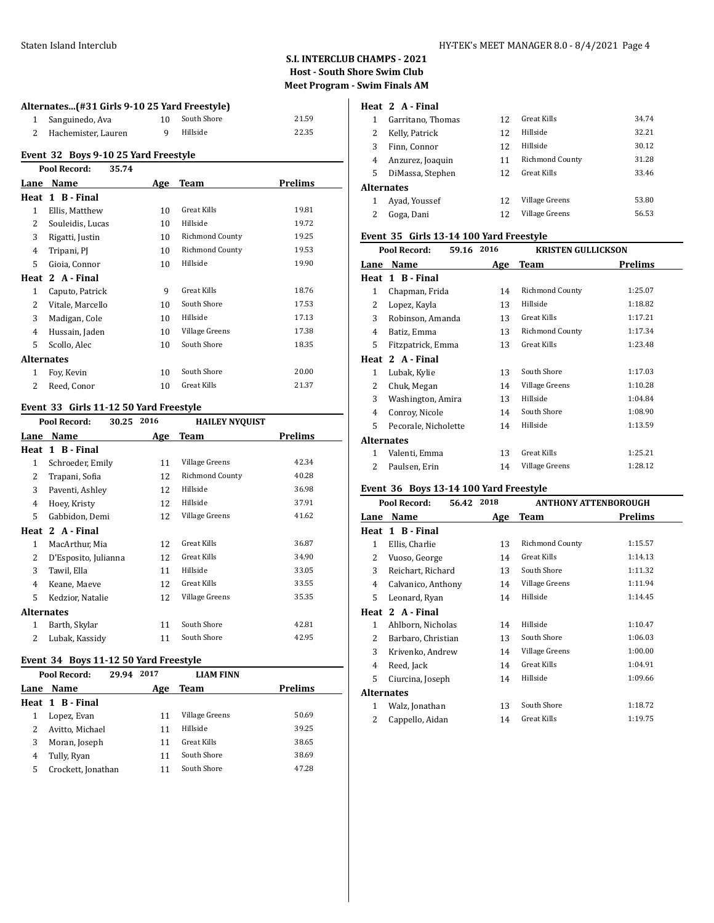#### Staten Island Interclub HY-TEK's MEET MANAGER 8.0 - 8/4/2021 Page 4

# **S.I. INTERCLUB CHAMPS - 2021 Host - South Shore Swim Club Meet Program - Swim Finals AM**

#### **Alternates...(#31 Girls 9-10 25 Yard Freestyle)**

| 1 Sanguinedo, Ava     | South Shore | 21.59 |
|-----------------------|-------------|-------|
| 2 Hachemister, Lauren | Hillside    | 22.35 |

# **Event 32 Boys 9-10 25 Yard Freestyle**

|                   | Pool Record:<br>35.74 |     |                        |         |
|-------------------|-----------------------|-----|------------------------|---------|
| Lane              | Name                  | Age | Team                   | Prelims |
| Heat              | 1 B - Final           |     |                        |         |
| 1                 | Ellis, Matthew        | 10  | <b>Great Kills</b>     | 19.81   |
| 2                 | Souleidis, Lucas      | 10  | Hillside               | 19.72   |
| 3                 | Rigatti, Justin       | 10  | <b>Richmond County</b> | 19.25   |
| 4                 | Tripani, PJ           | 10  | <b>Richmond County</b> | 19.53   |
| 5                 | Gioia, Connor         | 10  | Hillside               | 19.90   |
|                   | Heat 2 A - Final      |     |                        |         |
| 1                 | Caputo, Patrick       | 9   | <b>Great Kills</b>     | 18.76   |
| 2                 | Vitale, Marcello      | 10  | South Shore            | 17.53   |
| 3                 | Madigan, Cole         | 10  | Hillside               | 17.13   |
| 4                 | Hussain, Jaden        | 10  | Village Greens         | 17.38   |
| 5                 | Scollo, Alec          | 10  | South Shore            | 18.35   |
| <b>Alternates</b> |                       |     |                        |         |
| 1                 | Foy, Kevin            | 10  | South Shore            | 20.00   |
| 2                 | Reed, Conor           | 10  | Great Kills            | 21.37   |
|                   |                       |     |                        |         |

# **Event 33 Girls 11-12 50 Yard Freestyle**

|                   | Pool Record:<br>30.25 | 2016 | <b>HAILEY NYQUIST</b>  |         |
|-------------------|-----------------------|------|------------------------|---------|
| Lane              | Name                  | Age  | Team                   | Prelims |
| Heat              | 1 B - Final           |      |                        |         |
| 1                 | Schroeder, Emily      | 11   | Village Greens         | 42.34   |
| 2                 | Trapani, Sofia        | 12   | <b>Richmond County</b> | 40.28   |
| 3                 | Paventi, Ashley       | 12   | Hillside               | 36.98   |
| 4                 | Hoey, Kristy          | 12   | Hillside               | 37.91   |
| 5                 | Gabbidon, Demi        | 12   | Village Greens         | 41.62   |
|                   | Heat 2 A - Final      |      |                        |         |
| 1                 | MacArthur, Mia        | 12   | <b>Great Kills</b>     | 36.87   |
| 2                 | D'Esposito, Julianna  | 12   | Great Kills            | 34.90   |
| 3                 | Tawil, Ella           | 11   | Hillside               | 33.05   |
| 4                 | Keane, Maeve          | 12   | Great Kills            | 33.55   |
| 5                 | Kedzior, Natalie      | 12   | Village Greens         | 35.35   |
| <b>Alternates</b> |                       |      |                        |         |
| 1                 | Barth, Skylar         | 11   | South Shore            | 42.81   |
| 2                 | Lubak, Kassidy        | 11   | South Shore            | 42.95   |
|                   |                       |      |                        |         |

# **Event 34 Boys 11-12 50 Yard Freestyle**

|      | Pool Record:<br>29.94 | 2017 | <b>LIAM FINN</b> |                |
|------|-----------------------|------|------------------|----------------|
| Lane | Name                  | Age  | Team             | <b>Prelims</b> |
|      | Heat 1 B-Final        |      |                  |                |
|      | Lopez, Evan           | 11   | Village Greens   | 50.69          |
|      | Avitto, Michael       | 11   | Hillside         | 39.25          |
| 3    | Moran, Joseph         | 11   | Great Kills      | 38.65          |
| 4    | Tully, Ryan           | 11   | South Shore      | 38.69          |
| 5    | Crockett, Jonathan    | 11   | South Shore      | 47.28          |

# **Heat 2 A - Final**

|                   | Garritano, Thomas | 12 | Great Kills            | 34.74 |
|-------------------|-------------------|----|------------------------|-------|
| 2                 | Kelly, Patrick    | 12 | Hillside               | 32.21 |
| 3                 | Finn, Connor      | 12 | Hillside               | 30.12 |
| 4                 | Anzurez, Joaquin  | 11 | <b>Richmond County</b> | 31.28 |
| 5                 | DiMassa, Stephen  | 12 | Great Kills            | 33.46 |
| <b>Alternates</b> |                   |    |                        |       |
|                   | Avad, Youssef     | 12 | Village Greens         | 53.80 |
|                   | Goga, Dani        | 12 | Village Greens         | 56.53 |
|                   |                   |    |                        |       |

#### **Event 35 Girls 13-14 100 Yard Freestyle**

| Pool Record:<br>59.16 2016 |                      |     | <b>KRISTEN GULLICKSON</b> |         |
|----------------------------|----------------------|-----|---------------------------|---------|
| Lane                       | <b>Name</b>          | Age | Team                      | Prelims |
|                            | Heat 1 B-Final       |     |                           |         |
| 1                          | Chapman, Frida       | 14  | Richmond County           | 1:25.07 |
| 2                          | Lopez, Kayla         | 13  | Hillside                  | 1:18.82 |
| 3                          | Robinson, Amanda     | 13  | <b>Great Kills</b>        | 1:17.21 |
| 4                          | Batiz, Emma          | 13  | Richmond County           | 1:17.34 |
| 5                          | Fitzpatrick, Emma    | 13  | <b>Great Kills</b>        | 1:23.48 |
|                            | Heat 2 A-Final       |     |                           |         |
| $\mathbf{1}$               | Lubak, Kylie         | 13  | South Shore               | 1:17.03 |
| 2                          | Chuk, Megan          | 14  | Village Greens            | 1:10.28 |
| 3                          | Washington, Amira    | 13  | Hillside                  | 1:04.84 |
| 4                          | Conroy, Nicole       | 14  | South Shore               | 1:08.90 |
| 5                          | Pecorale, Nicholette | 14  | Hillside                  | 1:13.59 |
| Alternates                 |                      |     |                           |         |
| $\mathbf{1}$               | Valenti, Emma        | 13  | Great Kills               | 1:25.21 |
| $\mathcal{L}$              | Paulsen, Erin        | 14  | Village Greens            | 1:28.12 |
|                            |                      |     |                           |         |

#### **Event 36 Boys 13-14 100 Yard Freestyle**

| Pool Record:<br>56.42 2018 |                    |     | <b>ANTHONY ATTENBOROUGH</b> |         |
|----------------------------|--------------------|-----|-----------------------------|---------|
| Lane                       | Name               | Age | Team                        | Prelims |
|                            | Heat 1 B-Final     |     |                             |         |
| 1                          | Ellis, Charlie     | 13  | Richmond County             | 1:15.57 |
| 2                          | Vuoso, George      | 14  | <b>Great Kills</b>          | 1:14.13 |
| 3                          | Reichart, Richard  | 13  | South Shore                 | 1:11.32 |
| 4                          | Calvanico, Anthony | 14  | Village Greens              | 1:11.94 |
| 5.                         | Leonard, Ryan      | 14  | Hillside                    | 1:14.45 |
| Heat                       | 2 A Final          |     |                             |         |
| 1                          | Ahlborn, Nicholas  | 14  | Hillside                    | 1:10.47 |
| 2                          | Barbaro, Christian | 13  | South Shore                 | 1:06.03 |
| 3                          | Krivenko, Andrew   | 14  | Village Greens              | 1:00.00 |
| 4                          | Reed, Jack         | 14  | Great Kills                 | 1:04.91 |
| 5                          | Ciurcina, Joseph   | 14  | Hillside                    | 1:09.66 |
| Alternates                 |                    |     |                             |         |
| 1                          | Walz, Jonathan     | 13  | South Shore                 | 1:18.72 |
| 2                          | Cappello, Aidan    | 14  | <b>Great Kills</b>          | 1:19.75 |